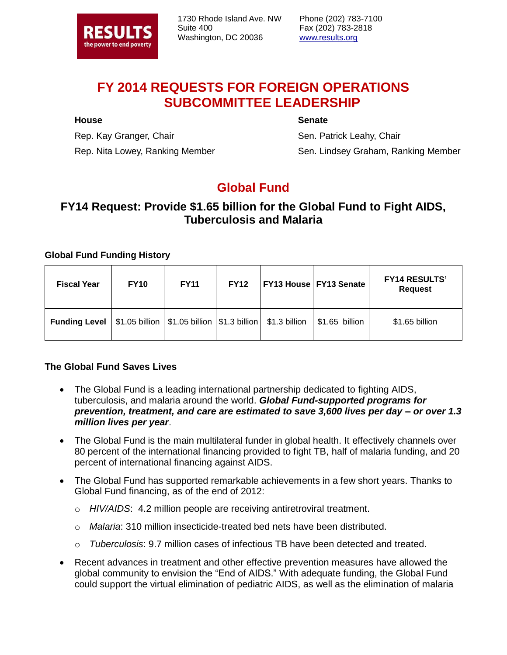

1730 Rhode Island Ave. NW Suite 400 Washington, DC 20036

Phone (202) 783-7100 Fax (202) 783-2818 www.results.org

# **FY 2014 REQUESTS FOR FOREIGN OPERATIONS SUBCOMMITTEE LEADERSHIP**

### **House**

### **Senate**

Rep. Kay Granger, Chair Rep. Nita Lowey, Ranking Member

Sen. Patrick Leahy, Chair Sen. Lindsey Graham, Ranking Member

# **Global Fund**

## **FY14 Request: Provide \$1.65 billion for the Global Fund to Fight AIDS, Tuberculosis and Malaria**

### **Global Fund Funding History**

| <b>Fiscal Year</b>   | <b>FY10</b> | <b>FY11</b>                                                      | <b>FY12</b> | <b>FY13 House FY13 Senate</b> | <b>FY14 RESULTS'</b><br><b>Request</b> |
|----------------------|-------------|------------------------------------------------------------------|-------------|-------------------------------|----------------------------------------|
| <b>Funding Level</b> |             | $$1.05$ billion $ $1.05$ billion $ $1.3$ billion $ $1.3$ billion |             | \$1.65 billion                | \$1.65 billion                         |

### **The Global Fund Saves Lives**

- The Global Fund is a leading international partnership dedicated to fighting AIDS, tuberculosis, and malaria around the world. *Global Fund-supported programs for prevention, treatment, and care are estimated to save 3,600 lives per day – or over 1.3 million lives per year*.
- The Global Fund is the main multilateral funder in global health. It effectively channels over 80 percent of the international financing provided to fight TB, half of malaria funding, and 20 percent of international financing against AIDS.
- The Global Fund has supported remarkable achievements in a few short years. Thanks to Global Fund financing, as of the end of 2012:
	- o *HIV/AIDS*: 4.2 million people are receiving antiretroviral treatment.
	- o *Malaria*: 310 million insecticide-treated bed nets have been distributed.
	- o *Tuberculosis*: 9.7 million cases of infectious TB have been detected and treated.
- Recent advances in treatment and other effective prevention measures have allowed the global community to envision the "End of AIDS." With adequate funding, the Global Fund could support the virtual elimination of pediatric AIDS, as well as the elimination of malaria